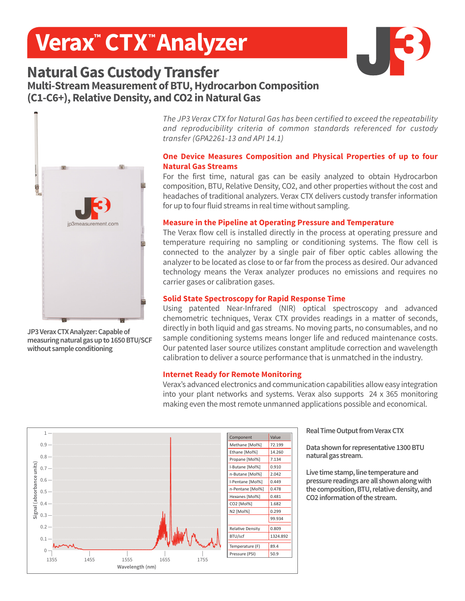# **Verax™ CTX™ Analyzer**



## **Natural Gas Custody Transfer Multi-Stream Measurement of BTU, Hydrocarbon Composition (C1-C6+), Relative Density, and CO2 in Natural Gas**



**JP3 Verax CTX Analyzer: Capable of measuring natural gas up to 1650 BTU/SCF without sample conditioning**

*The JP3 Verax CTX for Natural Gas has been certified to exceed the repeatability and reproducibility criteria of common standards referenced for custody transfer (GPA2261-13 and API 14.1)*

#### **One Device Measures Composition and Physical Properties of up to four Natural Gas Streams**

For the first time, natural gas can be easily analyzed to obtain Hydrocarbon composition, BTU, Relative Density, CO2, and other properties without the cost and headaches of traditional analyzers. Verax CTX delivers custody transfer information for up to four fluid streams in real time without sampling.

#### **Measure in the Pipeline at Operating Pressure and Temperature**

The Verax flow cell is installed directly in the process at operating pressure and temperature requiring no sampling or conditioning systems. The flow cell is connected to the analyzer by a single pair of fiber optic cables allowing the analyzer to be located as close to or far from the process as desired. Our advanced technology means the Verax analyzer produces no emissions and requires no carrier gases or calibration gases.

#### **Solid State Spectroscopy for Rapid Response Time**

Using patented Near-Infrared (NIR) optical spectroscopy and advanced chemometric techniques, Verax CTX provides readings in a matter of seconds, directly in both liquid and gas streams. No moving parts, no consumables, and no sample conditioning systems means longer life and reduced maintenance costs. Our patented laser source utilizes constant amplitude correction and wavelength calibration to deliver a source performance that is unmatched in the industry.

#### **Internet Ready for Remote Monitoring**

Verax's advanced electronics and communication capabilities allow easy integration into your plant networks and systems. Verax also supports 24 x 365 monitoring making even the most remote unmanned applications possible and economical.



**Real Time Output from Verax CTX** 

**Data shown for representative 1300 BTU natural gas stream.**

**Live time stamp, line temperature and pressure readings are all shown along with the composition, BTU, relative density, and CO2 information of the stream.**